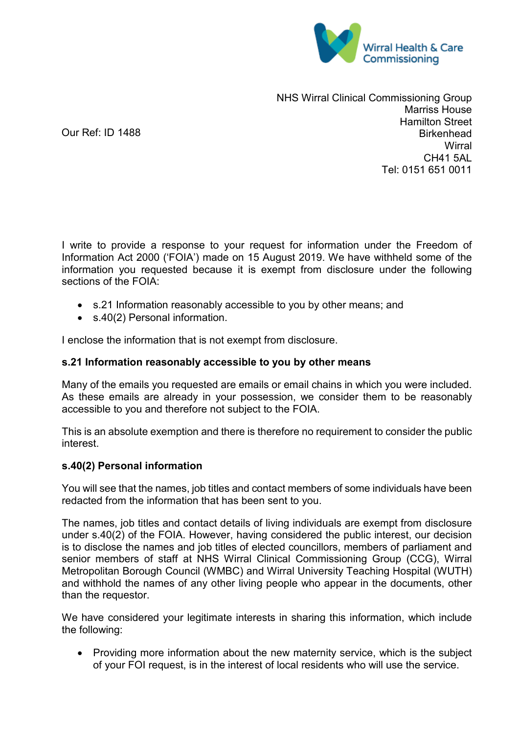

NHS Wirral Clinical Commissioning Group Marriss House Hamilton Street **Birkenhead Wirral** CH41 5AL Tel: 0151 651 0011

I write to provide a response to your request for information under the Freedom of Information Act 2000 ('FOIA') made on 15 August 2019. We have withheld some of the information you requested because it is exempt from disclosure under the following sections of the FOIA:

- s.21 Information reasonably accessible to you by other means; and
- s.40(2) Personal information.

Our Ref: ID 1488

I enclose the information that is not exempt from disclosure.

## **s.21 Information reasonably accessible to you by other means**

Many of the emails you requested are emails or email chains in which you were included. As these emails are already in your possession, we consider them to be reasonably accessible to you and therefore not subject to the FOIA.

This is an absolute exemption and there is therefore no requirement to consider the public interest.

## **s.40(2) Personal information**

You will see that the names, job titles and contact members of some individuals have been redacted from the information that has been sent to you.

The names, job titles and contact details of living individuals are exempt from disclosure under s.40(2) of the FOIA. However, having considered the public interest, our decision is to disclose the names and job titles of elected councillors, members of parliament and senior members of staff at NHS Wirral Clinical Commissioning Group (CCG), Wirral Metropolitan Borough Council (WMBC) and Wirral University Teaching Hospital (WUTH) and withhold the names of any other living people who appear in the documents, other than the requestor.

We have considered your legitimate interests in sharing this information, which include the following:

• Providing more information about the new maternity service, which is the subject of your FOI request, is in the interest of local residents who will use the service.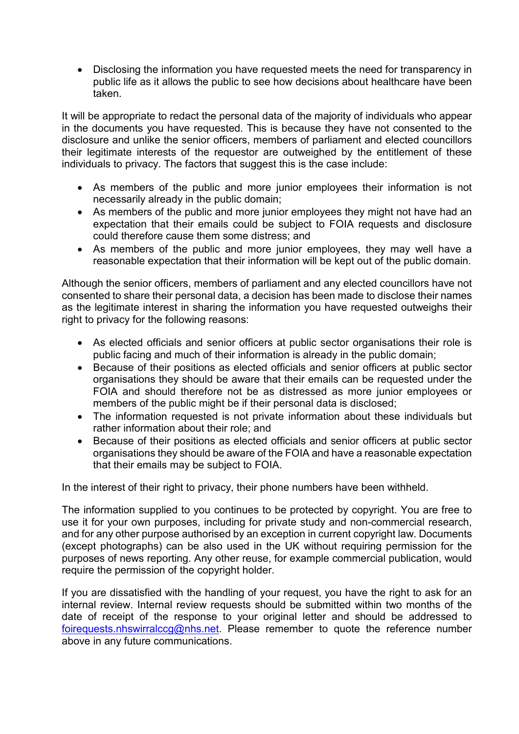• Disclosing the information you have requested meets the need for transparency in public life as it allows the public to see how decisions about healthcare have been taken.

It will be appropriate to redact the personal data of the majority of individuals who appear in the documents you have requested. This is because they have not consented to the disclosure and unlike the senior officers, members of parliament and elected councillors their legitimate interests of the requestor are outweighed by the entitlement of these individuals to privacy. The factors that suggest this is the case include:

- As members of the public and more junior employees their information is not necessarily already in the public domain;
- As members of the public and more junior employees they might not have had an expectation that their emails could be subject to FOIA requests and disclosure could therefore cause them some distress; and
- As members of the public and more junior employees, they may well have a reasonable expectation that their information will be kept out of the public domain.

Although the senior officers, members of parliament and any elected councillors have not consented to share their personal data, a decision has been made to disclose their names as the legitimate interest in sharing the information you have requested outweighs their right to privacy for the following reasons:

- As elected officials and senior officers at public sector organisations their role is public facing and much of their information is already in the public domain;
- Because of their positions as elected officials and senior officers at public sector organisations they should be aware that their emails can be requested under the FOIA and should therefore not be as distressed as more junior employees or members of the public might be if their personal data is disclosed;
- The information requested is not private information about these individuals but rather information about their role; and
- Because of their positions as elected officials and senior officers at public sector organisations they should be aware of the FOIA and have a reasonable expectation that their emails may be subject to FOIA.

In the interest of their right to privacy, their phone numbers have been withheld.

The information supplied to you continues to be protected by copyright. You are free to use it for your own purposes, including for private study and non-commercial research, and for any other purpose authorised by an exception in current copyright law. Documents (except photographs) can be also used in the UK without requiring permission for the purposes of news reporting. Any other reuse, for example commercial publication, would require the permission of the copyright holder.

If you are dissatisfied with the handling of your request, you have the right to ask for an internal review. Internal review requests should be submitted within two months of the date of receipt of the response to your original letter and should be addressed to [foirequests.nhswirralccg@nhs.net.](mailto:foirequests.nhswirralccg@nhs.net) Please remember to quote the reference number above in any future communications.